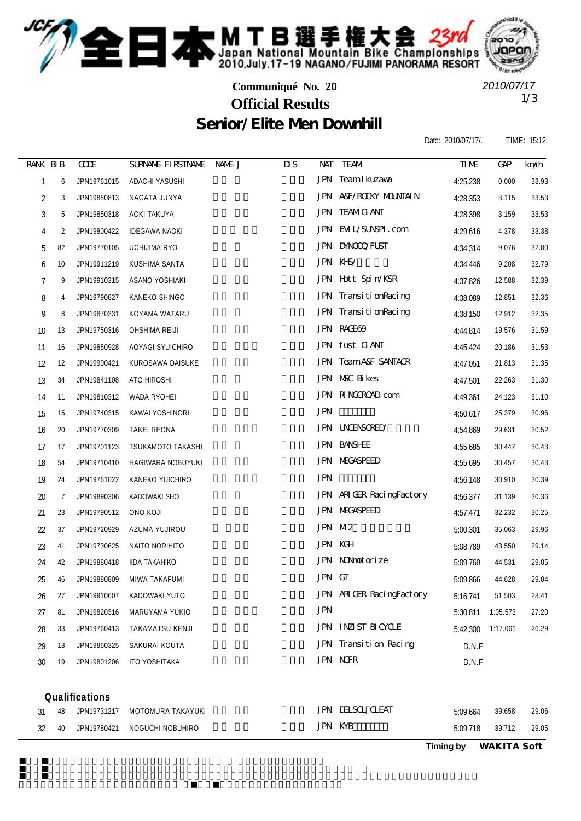

*2010/07/17*

## **Communiqué No. 20** Senior/Elite Men Downhill 1/3 **Official Results**

Date: 2010/07/17/. TIME: 15:12.

| RANK BIB   |                | <b>COE</b>     | <b>SURVANE FIRSTIVANE</b> | NAME J | $\overline{\mathbf{u}}$<br><b>NAT</b> | <b>TEAM</b>                    | <b>TIME</b> | <b>GAP</b> | km/h  |
|------------|----------------|----------------|---------------------------|--------|---------------------------------------|--------------------------------|-------------|------------|-------|
| 1          | 6              | JPN19761015    | ADACHI YASUSHI            |        |                                       | <b>JPN</b> TeamIkuzawa         | 4:25.238    | 0.000      | 33.93 |
| 2          | 3              | JPN19880813    | NAGATA JUNYA              |        |                                       | JPN A&F/ROOKY MOUNTAIN         | 4:28.353    | 3.115      | 33.53 |
| $\sqrt{3}$ | 5              | JPN19850318    | AOKI TAKUYA               |        |                                       | <b>JPN TEAMG ANT</b>           | 4:28.398    | 3.159      | 33.53 |
| 4          | 2              | JPN19800422    | <b>IDEGAWA NAOKI</b>      |        |                                       | JPN EML/SUNSPI.com             | 4:29.616    | 4.378      | 33.38 |
| 5          | 82             | JPN19770105    | <b>UCHIJIMA RYO</b>       |        |                                       | <b>JPN DNOOOFUST</b>           | 4:34.314    | 9.076      | 32.80 |
| 6          | 10             | JPN19911219    | KUSHIMA SANTA             |        |                                       | JPN KHS/                       | 4:34.446    | 9.208      | 32.79 |
| 7          | 9              | JPN19910315    | ASANO YOSHIAKI            |        |                                       | JPN Hott Spin/KSR              | 4:37.826    | 12.588     | 32.39 |
| 8          | 4              | JPN19790827    | KANEKO SHINGO             |        |                                       | JPN TransitionRacing           | 4:38.089    | 12.851     | 32.36 |
| 9          | 8              | JPN19870331    | KOYAMA WATARU             |        |                                       | JPN TransitionRacing           | 4:38.150    | 12.912     | 32.35 |
| 10         | 13             | JPN19750316    | OHSHIMA REIJI             |        |                                       | JPN RAGE69                     | 4:44.814    | 19.576     | 31.59 |
| 11         | 16             | JPN19850928    | AOYAGI SYUICHIRO          |        |                                       | JPN fust GANT                  | 4:45.424    | 20.186     | 31.53 |
| 12         | 12             | JPN19900421    | KUROSAWA DAISUKE          |        |                                       | <b>JPN TeamA&amp;F SANTACR</b> | 4:47.051    | 21.813     | 31.35 |
| 13         | 34             | JPN19841108    | ATO HIROSHI               |        |                                       | JPN NSC Bikes                  | 4:47.501    | 22.263     | 31.30 |
| 14         | 11             | JPN19810312    | <b>WADA RYOHEI</b>        |        |                                       | JPN RINGOROAD com              | 4:49.361    | 24.123     | 31.10 |
| 15         | 15             | JPN19740315    | KAWAI YOSHINORI           |        | <b>JPN</b>                            |                                | 4:50.617    | 25.379     | 30.96 |
| 16         | 20             | JPN19770309    | TAKEI REONA               |        |                                       | <b>JPN UNENSORED</b>           | 4:54.869    | 29.631     | 30.52 |
| 17         | 17             | JPN19701123    | TSUKAMOTO TAKASHI         |        |                                       | <b>JPN BANSHEE</b>             | 4:55.685    | 30.447     | 30.43 |
| 18         | 54             | JPN19710410    | HAGIWARA NOBUYUKI         |        |                                       | <b>JPN MEGASPEED</b>           | 4:55.695    | 30.457     | 30.43 |
| 19         | 24             | JPN19761022    | KANEKO YUICHIRO           |        | <b>JPN</b>                            |                                | 4:56.148    | 30.910     | 30.39 |
| 20         | $\overline{7}$ | JPN19890306    | <b>KADOWAKI SHO</b>       |        |                                       | JPN ARIGER RacingFactory       | 4:56.377    | 31.139     | 30.36 |
| 21         | 23             | JPN19790512    | ONO KOJI                  |        |                                       | <b>JPN MEGASPEED</b>           | 4:57.471    | 32.232     | 30.25 |
| 22         | 37             | JPN19720929    | AZUMA YUJIROU             |        |                                       | JPN M2                         | 5:00.301    | 35.063     | 29.96 |
| 23         | 41             | JPN19730625    | NAITO NORIHITO            |        |                                       | <b>JPN KGH</b>                 | 5:08.789    | 43.550     | 29.14 |
| 24         | 42             | JPN19880418    | <b>IIDA TAKAHIKO</b>      |        |                                       | JPN NONhotorize                | 5:09.769    | 44.531     | 29.05 |
| 25         | 46             | JPN19880809    | MIWA TAKAFUMI             |        | JPN GT                                |                                | 5:09.866    | 44.628     | 29.04 |
| 26         | 27             | JPN19910607    | KADOWAKI YUTO             |        |                                       | JPN ARIGER RacingFactory       | 5:16.741    | 51.503     | 28.41 |
| 27         | 81             | JPN19820316    | MARUYAMA YUKIO            |        | <b>JPN</b>                            |                                | 5:30.811    | 1:05.573   | 27.20 |
| 28         | 33             | JPN19760413    | TAKAMATSU KENJI           |        |                                       | JPN INZIST BICYCLE             | 5:42.300    | 1:17.061   | 26.29 |
| 29         | 18             | JPN19860325    | SAKURAI KOUTA             |        |                                       | JPN Transition Racing          | D.N.F       |            |       |
| 30         | 19             | JPN19801206    | ITO YOSHITAKA             |        |                                       | <b>JPN NOR</b>                 | D.N.F       |            |       |
|            |                | Qualifications |                           |        |                                       |                                |             |            |       |
| 31         | 48             | JPN19731217    | MOTOMURA TAKAYUKI         |        |                                       | <b>JPN DESCL CLEAT</b>         | 5:09.664    | 39.658     | 29.06 |
| 32         | 40             | JPN19780421    | NOGUCHI NOBUHIRO          |        |                                       | <b>JPN KYB</b>                 | 5:09.718    | 39.712     | 29.05 |

**Timing by** *WAKITA Soft*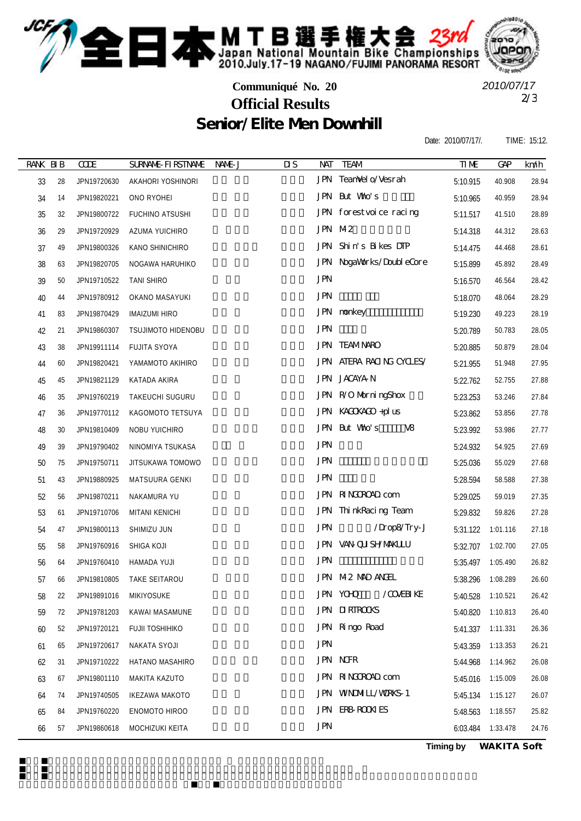

**Communiqué No. 20**

2/3 **Official Results** *2010/07/17*

## Senior/Elite Men Downhill

Date: 2010/07/17/. TIME: 15:12.

| <b>RANK BIB</b> |    | CCE         | <b>SURVANE FI RSTIVANE</b> | NAME J | $\overline{\mathbf{u}}$ | <b>NAT</b> | <b>TEAM</b>                  | <b>TIME</b> | <b>GAP</b> | km/h  |
|-----------------|----|-------------|----------------------------|--------|-------------------------|------------|------------------------------|-------------|------------|-------|
| 33              | 28 | JPN19720630 | AKAHORI YOSHINORI          |        |                         |            | JPN TeanVel o/Vesrah         | 5:10.915    | 40.908     | 28.94 |
| 34              | 14 | JPN19820221 | ONO RYOHEI                 |        |                         |            | JPN But Wao's                | 5:10.965    | 40.959     | 28.94 |
| 35              | 32 | JPN19800722 | FUCHINO ATSUSHI            |        |                         |            | JPN forestvoice racing       | 5:11.517    | 41.510     | 28.89 |
| 36              | 29 | JPN19720929 | AZUMA YUICHIRO             |        |                         |            | JPN M2                       | 5:14.318    | 44.312     | 28.63 |
| 37              | 49 | JPN19800326 | KANO SHINICHIRO            |        |                         |            | JPN Shin's Bikes DIP         | 5:14.475    | 44.468     | 28.61 |
| 38              | 63 | JPN19820705 | NOGAWA HARUHIKO            |        |                         |            | JPN NogaWorks/DoubleCore     | 5:15.899    | 45.892     | 28.49 |
| 39              | 50 | JPN19710522 | TANI SHIRO                 |        |                         | <b>JPN</b> |                              | 5:16.570    | 46.564     | 28.42 |
| 40              | 44 | JPN19780912 | OKANO MASAYUKI             |        |                         | <b>JPN</b> |                              | 5:18.070    | 48.064     | 28.29 |
| 41              | 83 | JPN19870429 | <b>IMAIZUMI HIRO</b>       |        |                         |            | JPN nonkey                   | 5:19.230    | 49.223     | 28.19 |
| 42              | 21 | JPN19860307 | <b>TSUJIMOTO HIDENOBU</b>  |        |                         | <b>JPN</b> |                              | 5:20.789    | 50.783     | 28.05 |
| 43              | 38 | JPN19911114 | FUJITA SYOYA               |        |                         |            | <b>JPN TEAMNARO</b>          | 5:20.885    | 50.879     | 28.04 |
| 44              | 60 | JPN19820421 | YAMAMOTO AKIHIRO           |        |                         |            | JPN ATERA RACING CYCLES/     | 5:21.955    | 51.948     | 27.95 |
| 45              | 45 | JPN19821129 | KATADA AKIRA               |        |                         |            | JPN JACAYA N                 | 5:22.762    | 52.755     | 27.88 |
| 46              | 35 | JPN19760219 | TAKEUCHI SUGURU            |        |                         |            | JPN R/O MorningShox          | 5:23.253    | 53.246     | 27.84 |
| 47              | 36 | JPN19770112 | KAGOMOTO TETSUYA           |        |                         |            | JPN KACKACO +pl us           | 5:23.862    | 53.856     | 27.78 |
| 48              | 30 | JPN19810409 | NOBU YUICHIRO              |        |                         |            | JPN But Wao's<br>V8          | 5:23.992    | 53.986     | 27.77 |
| 49              | 39 | JPN19790402 | NINOMIYA TSUKASA           |        |                         | <b>JPN</b> |                              | 5:24.932    | 54.925     | 27.69 |
| 50              | 75 | JPN19750711 | JITSUKAWA TOMOWO           |        |                         | <b>JPN</b> |                              | 5:25.036    | 55.029     | 27.68 |
| 51              | 43 | JPN19880925 | MATSUURA GENKI             |        |                         | <b>JPN</b> |                              | 5:28.594    | 58.588     | 27.38 |
| 52              | 56 | JPN19870211 | NAKAMURA YU                |        |                         |            | JPN RINGROAD com             | 5:29.025    | 59.019     | 27.35 |
| 53              | 61 | JPN19710706 | MITANI KENICHI             |        |                         |            | JPN ThinkRacing Team         | 5:29.832    | 59.826     | 27.28 |
| 54              | 47 | JPN19800113 | SHIMIZU JUN                |        |                         | <b>JPN</b> | /Drop8/Try-J                 | 5:31.122    | 1:01.116   | 27.18 |
| 55              | 58 | JPN19760916 | SHIGA KOJI                 |        |                         |            | JPN VAN QUISHYMAKLLU         | 5:32.707    | 1:02.700   | 27.05 |
| 56              | 64 | JPN19760410 | HAMADA YUJI                |        |                         | <b>JPN</b> |                              | 5:35.497    | 1:05.490   | 26.82 |
| 57              | 66 | JPN19810805 | TAKE SEITAROU              |        |                         |            | JPN M2 MAD ANGEL             | 5:38.296    | 1:08.289   | 26.60 |
| 58              | 22 | JPN19891016 | MIKIYOSUKE                 |        |                         |            | <b>JPN YOHO</b><br>/COVERIKE | 5:40.528    | 1:10.521   | 26.42 |
| 59              | 72 | JPN19781203 | KAWAI MASAMUNE             |        |                         |            | <b>JPN DIRIROOKS</b>         | 5:40.820    | 1:10.813   | 26.40 |
| 60              | 52 | JPN19720121 | FUJII TOSHIHIKO            |        |                         |            | JPN Ringo Road               | 5:41.337    | 1:11.331   | 26.36 |
| 61              | 65 | JPN19720617 | NAKATA SYOJI               |        |                         | <b>JPN</b> |                              | 5:43.359    | 1:13.353   | 26.21 |
| 62              | 31 | JPN19710222 | HATANO MASAHIRO            |        |                         |            | <b>JPN NGR</b>               | 5:44.968    | 1:14.962   | 26.08 |
| 63              | 67 | JPN19801110 | MAKITA KAZUTO              |        |                         |            | JPN RINGOROAD com            | 5:45.016    | 1:15.009   | 26.08 |
| 64              | 74 | JPN19740505 | <b>IKEZAWA MAKOTO</b>      |        |                         |            | JPN WNDMIL/WRKS-1            | 5:45.134    | 1:15.127   | 26.07 |
| 65              | 84 | JPN19760220 | ENOMOTO HIROO              |        |                         |            | JPN ERB-ROOK ES              | 5:48.563    | 1:18.557   | 25.82 |
| 66              | 57 | JPN19860618 | MOCHIZUKI KEITA            |        |                         | <b>JPN</b> |                              | 6:03.484    | 1:33.478   | 24.76 |

**Timing by** *WAKITA Soft*